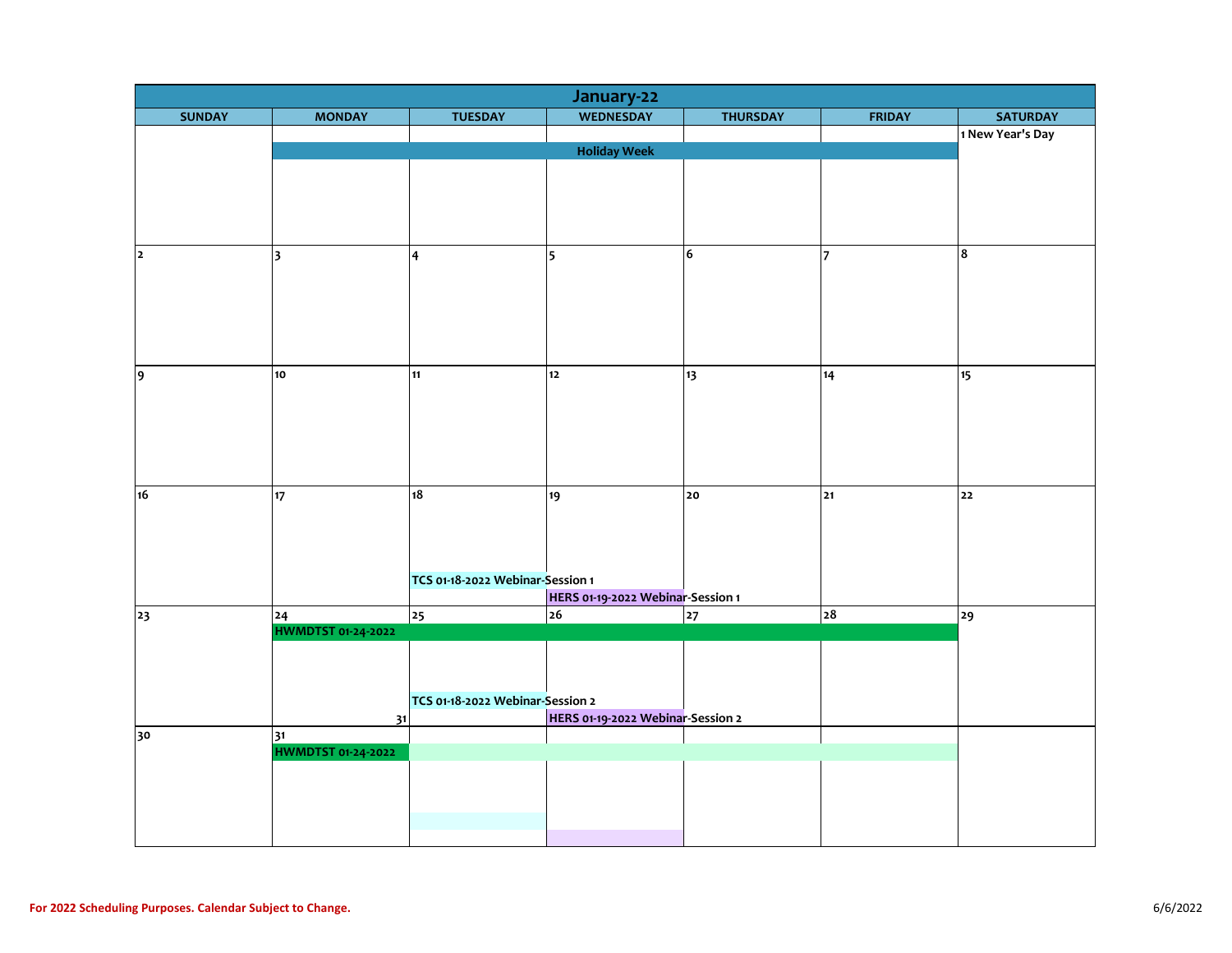|                | January-22                      |                                  |                                   |                 |                |                  |  |  |  |
|----------------|---------------------------------|----------------------------------|-----------------------------------|-----------------|----------------|------------------|--|--|--|
| <b>SUNDAY</b>  | <b>MONDAY</b>                   | <b>TUESDAY</b>                   | <b>WEDNESDAY</b>                  | <b>THURSDAY</b> | <b>FRIDAY</b>  | <b>SATURDAY</b>  |  |  |  |
|                |                                 |                                  |                                   |                 |                | 1 New Year's Day |  |  |  |
|                | <b>Holiday Week</b>             |                                  |                                   |                 |                |                  |  |  |  |
|                |                                 |                                  |                                   |                 |                |                  |  |  |  |
|                |                                 |                                  |                                   |                 |                |                  |  |  |  |
|                |                                 |                                  |                                   |                 |                |                  |  |  |  |
|                |                                 |                                  |                                   |                 |                |                  |  |  |  |
| $\overline{2}$ | $\overline{\mathbf{3}}$         | $\overline{\mathbf{4}}$          | $\overline{\phantom{a}}$          | 6               | $\overline{7}$ | 8                |  |  |  |
|                |                                 |                                  |                                   |                 |                |                  |  |  |  |
|                |                                 |                                  |                                   |                 |                |                  |  |  |  |
|                |                                 |                                  |                                   |                 |                |                  |  |  |  |
|                |                                 |                                  |                                   |                 |                |                  |  |  |  |
|                |                                 |                                  |                                   |                 |                |                  |  |  |  |
|                |                                 |                                  |                                   |                 |                |                  |  |  |  |
| 9              | 10                              | 11                               | $12$                              | 13              | 14             | 15               |  |  |  |
|                |                                 |                                  |                                   |                 |                |                  |  |  |  |
|                |                                 |                                  |                                   |                 |                |                  |  |  |  |
|                |                                 |                                  |                                   |                 |                |                  |  |  |  |
|                |                                 |                                  |                                   |                 |                |                  |  |  |  |
|                |                                 |                                  |                                   |                 |                |                  |  |  |  |
| 16             | 17                              | 18                               | 19                                | 20              | 21             | 22               |  |  |  |
|                |                                 |                                  |                                   |                 |                |                  |  |  |  |
|                |                                 |                                  |                                   |                 |                |                  |  |  |  |
|                |                                 |                                  |                                   |                 |                |                  |  |  |  |
|                |                                 | TCS 01-18-2022 Webinar-Session 1 |                                   |                 |                |                  |  |  |  |
|                |                                 |                                  | HERS 01-19-2022 Webinar-Session 1 |                 |                |                  |  |  |  |
| 23             | 24                              | 25                               | $\overline{26}$                   | 27              | 28             | 29               |  |  |  |
|                | <b>HWMDTST 01-24-2022</b>       |                                  |                                   |                 |                |                  |  |  |  |
|                |                                 |                                  |                                   |                 |                |                  |  |  |  |
|                |                                 |                                  |                                   |                 |                |                  |  |  |  |
|                |                                 |                                  |                                   |                 |                |                  |  |  |  |
|                |                                 | TCS 01-18-2022 Webinar-Session 2 |                                   |                 |                |                  |  |  |  |
|                | 31                              |                                  | HERS 01-19-2022 Webinar-Session 2 |                 |                |                  |  |  |  |
| 30             | 31<br><b>HWMDTST 01-24-2022</b> |                                  |                                   |                 |                |                  |  |  |  |
|                |                                 |                                  |                                   |                 |                |                  |  |  |  |
|                |                                 |                                  |                                   |                 |                |                  |  |  |  |
|                |                                 |                                  |                                   |                 |                |                  |  |  |  |
|                |                                 |                                  |                                   |                 |                |                  |  |  |  |
|                |                                 |                                  |                                   |                 |                |                  |  |  |  |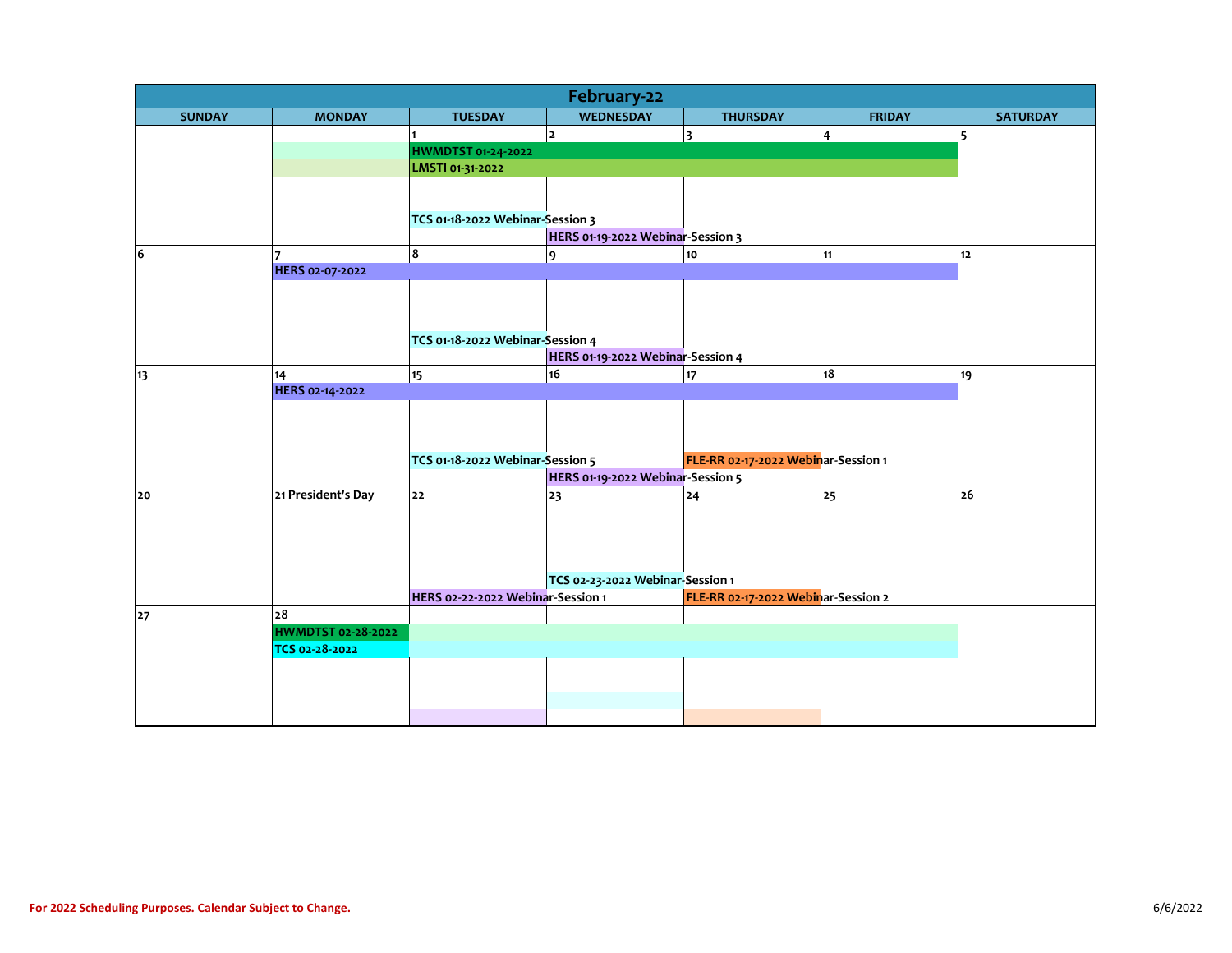| <b>WEDNESDAY</b><br><b>SUNDAY</b><br><b>MONDAY</b><br><b>TUESDAY</b><br><b>THURSDAY</b><br><b>FRIDAY</b><br><b>SATURDAY</b><br>$\overline{2}$<br>3<br>4<br>5<br>HWMDTST 01-24-2022<br>LMSTI 01-31-2022<br>TCS 01-18-2022 Webinar-Session 3<br>HERS 01-19-2022 Webinar-Session 3<br>8<br>6<br>$\overline{9}$<br>10<br>11<br>12<br>17<br>HERS 02-07-2022<br>TCS 01-18-2022 Webinar-Session 4<br>HERS 01-19-2022 Webinar-Session 4<br>$\overline{18}$<br>15<br>16<br>17<br>19<br>14<br>13<br>HERS 02-14-2022<br>TCS 01-18-2022 Webinar-Session 5<br>FLE-RR 02-17-2022 Webinar-Session 1<br>HERS 01-19-2022 Webinar-Session 5<br>21 President's Day<br>22<br>25<br>26<br>23<br>24<br>20<br>TCS 02-23-2022 Webinar-Session 1<br>HERS 02-22-2022 Webinar-Session 1<br>FLE-RR 02-17-2022 Webinar-Session 2<br>28<br>27<br><b>HWMDTST 02-28-2022</b><br>TCS 02-28-2022 | February-22 |  |  |  |  |  |  |  |  |  |
|----------------------------------------------------------------------------------------------------------------------------------------------------------------------------------------------------------------------------------------------------------------------------------------------------------------------------------------------------------------------------------------------------------------------------------------------------------------------------------------------------------------------------------------------------------------------------------------------------------------------------------------------------------------------------------------------------------------------------------------------------------------------------------------------------------------------------------------------------------------|-------------|--|--|--|--|--|--|--|--|--|
|                                                                                                                                                                                                                                                                                                                                                                                                                                                                                                                                                                                                                                                                                                                                                                                                                                                                |             |  |  |  |  |  |  |  |  |  |
|                                                                                                                                                                                                                                                                                                                                                                                                                                                                                                                                                                                                                                                                                                                                                                                                                                                                |             |  |  |  |  |  |  |  |  |  |
|                                                                                                                                                                                                                                                                                                                                                                                                                                                                                                                                                                                                                                                                                                                                                                                                                                                                |             |  |  |  |  |  |  |  |  |  |
|                                                                                                                                                                                                                                                                                                                                                                                                                                                                                                                                                                                                                                                                                                                                                                                                                                                                |             |  |  |  |  |  |  |  |  |  |
|                                                                                                                                                                                                                                                                                                                                                                                                                                                                                                                                                                                                                                                                                                                                                                                                                                                                |             |  |  |  |  |  |  |  |  |  |
|                                                                                                                                                                                                                                                                                                                                                                                                                                                                                                                                                                                                                                                                                                                                                                                                                                                                |             |  |  |  |  |  |  |  |  |  |
|                                                                                                                                                                                                                                                                                                                                                                                                                                                                                                                                                                                                                                                                                                                                                                                                                                                                |             |  |  |  |  |  |  |  |  |  |
|                                                                                                                                                                                                                                                                                                                                                                                                                                                                                                                                                                                                                                                                                                                                                                                                                                                                |             |  |  |  |  |  |  |  |  |  |
|                                                                                                                                                                                                                                                                                                                                                                                                                                                                                                                                                                                                                                                                                                                                                                                                                                                                |             |  |  |  |  |  |  |  |  |  |
|                                                                                                                                                                                                                                                                                                                                                                                                                                                                                                                                                                                                                                                                                                                                                                                                                                                                |             |  |  |  |  |  |  |  |  |  |
|                                                                                                                                                                                                                                                                                                                                                                                                                                                                                                                                                                                                                                                                                                                                                                                                                                                                |             |  |  |  |  |  |  |  |  |  |
|                                                                                                                                                                                                                                                                                                                                                                                                                                                                                                                                                                                                                                                                                                                                                                                                                                                                |             |  |  |  |  |  |  |  |  |  |
|                                                                                                                                                                                                                                                                                                                                                                                                                                                                                                                                                                                                                                                                                                                                                                                                                                                                |             |  |  |  |  |  |  |  |  |  |
|                                                                                                                                                                                                                                                                                                                                                                                                                                                                                                                                                                                                                                                                                                                                                                                                                                                                |             |  |  |  |  |  |  |  |  |  |
|                                                                                                                                                                                                                                                                                                                                                                                                                                                                                                                                                                                                                                                                                                                                                                                                                                                                |             |  |  |  |  |  |  |  |  |  |
|                                                                                                                                                                                                                                                                                                                                                                                                                                                                                                                                                                                                                                                                                                                                                                                                                                                                |             |  |  |  |  |  |  |  |  |  |
|                                                                                                                                                                                                                                                                                                                                                                                                                                                                                                                                                                                                                                                                                                                                                                                                                                                                |             |  |  |  |  |  |  |  |  |  |
|                                                                                                                                                                                                                                                                                                                                                                                                                                                                                                                                                                                                                                                                                                                                                                                                                                                                |             |  |  |  |  |  |  |  |  |  |
|                                                                                                                                                                                                                                                                                                                                                                                                                                                                                                                                                                                                                                                                                                                                                                                                                                                                |             |  |  |  |  |  |  |  |  |  |
|                                                                                                                                                                                                                                                                                                                                                                                                                                                                                                                                                                                                                                                                                                                                                                                                                                                                |             |  |  |  |  |  |  |  |  |  |
|                                                                                                                                                                                                                                                                                                                                                                                                                                                                                                                                                                                                                                                                                                                                                                                                                                                                |             |  |  |  |  |  |  |  |  |  |
|                                                                                                                                                                                                                                                                                                                                                                                                                                                                                                                                                                                                                                                                                                                                                                                                                                                                |             |  |  |  |  |  |  |  |  |  |
|                                                                                                                                                                                                                                                                                                                                                                                                                                                                                                                                                                                                                                                                                                                                                                                                                                                                |             |  |  |  |  |  |  |  |  |  |
|                                                                                                                                                                                                                                                                                                                                                                                                                                                                                                                                                                                                                                                                                                                                                                                                                                                                |             |  |  |  |  |  |  |  |  |  |
|                                                                                                                                                                                                                                                                                                                                                                                                                                                                                                                                                                                                                                                                                                                                                                                                                                                                |             |  |  |  |  |  |  |  |  |  |
|                                                                                                                                                                                                                                                                                                                                                                                                                                                                                                                                                                                                                                                                                                                                                                                                                                                                |             |  |  |  |  |  |  |  |  |  |
|                                                                                                                                                                                                                                                                                                                                                                                                                                                                                                                                                                                                                                                                                                                                                                                                                                                                |             |  |  |  |  |  |  |  |  |  |
|                                                                                                                                                                                                                                                                                                                                                                                                                                                                                                                                                                                                                                                                                                                                                                                                                                                                |             |  |  |  |  |  |  |  |  |  |
|                                                                                                                                                                                                                                                                                                                                                                                                                                                                                                                                                                                                                                                                                                                                                                                                                                                                |             |  |  |  |  |  |  |  |  |  |
|                                                                                                                                                                                                                                                                                                                                                                                                                                                                                                                                                                                                                                                                                                                                                                                                                                                                |             |  |  |  |  |  |  |  |  |  |
|                                                                                                                                                                                                                                                                                                                                                                                                                                                                                                                                                                                                                                                                                                                                                                                                                                                                |             |  |  |  |  |  |  |  |  |  |
|                                                                                                                                                                                                                                                                                                                                                                                                                                                                                                                                                                                                                                                                                                                                                                                                                                                                |             |  |  |  |  |  |  |  |  |  |
|                                                                                                                                                                                                                                                                                                                                                                                                                                                                                                                                                                                                                                                                                                                                                                                                                                                                |             |  |  |  |  |  |  |  |  |  |
|                                                                                                                                                                                                                                                                                                                                                                                                                                                                                                                                                                                                                                                                                                                                                                                                                                                                |             |  |  |  |  |  |  |  |  |  |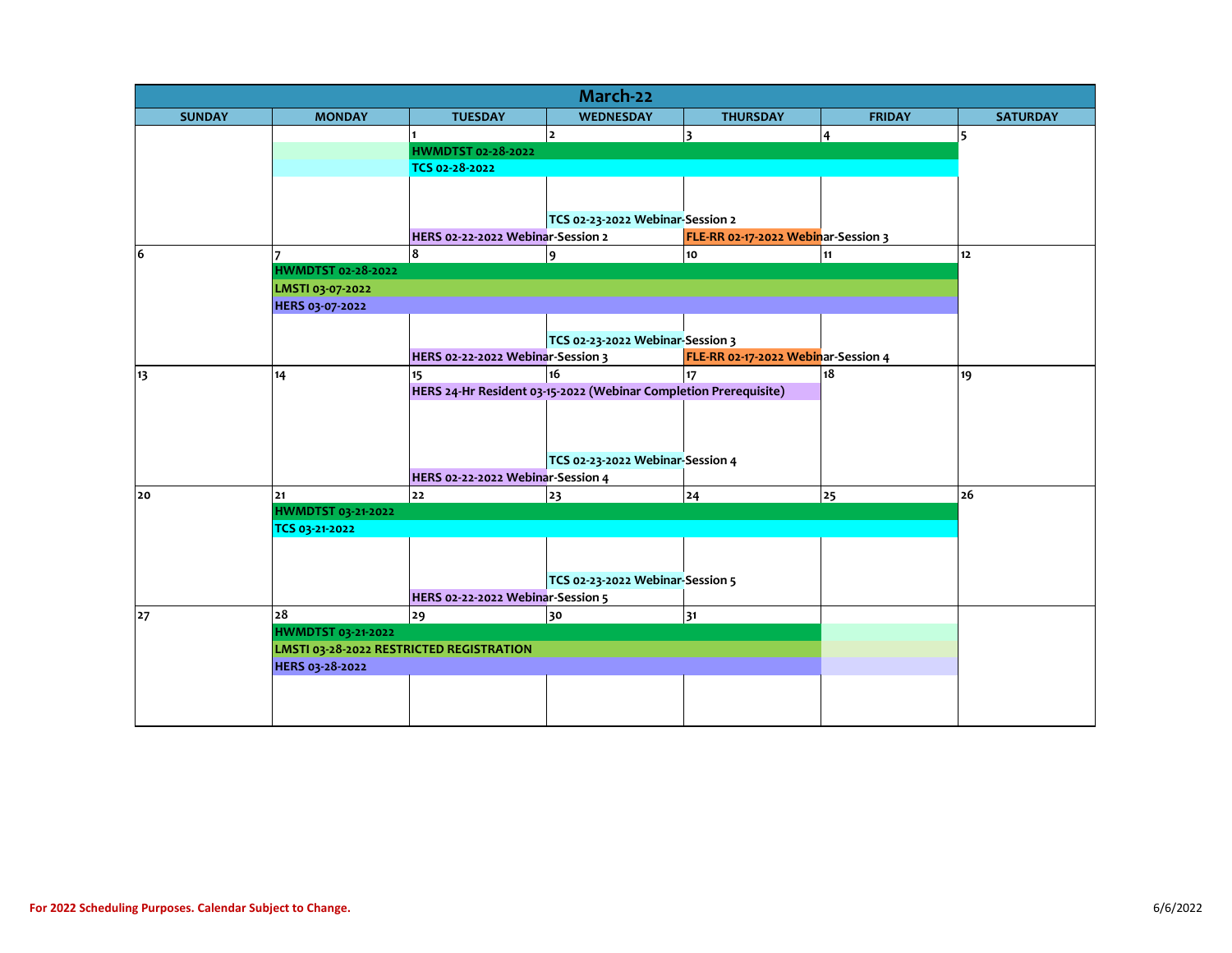| March-22      |                                                                |                                   |                                                                  |                                     |               |                 |  |  |
|---------------|----------------------------------------------------------------|-----------------------------------|------------------------------------------------------------------|-------------------------------------|---------------|-----------------|--|--|
| <b>SUNDAY</b> | <b>MONDAY</b>                                                  | <b>TUESDAY</b>                    | <b>WEDNESDAY</b>                                                 | <b>THURSDAY</b>                     | <b>FRIDAY</b> | <b>SATURDAY</b> |  |  |
|               |                                                                |                                   | $\overline{2}$                                                   | $\overline{\mathbf{3}}$             | 4             | 5               |  |  |
|               |                                                                | HWMDTST 02-28-2022                |                                                                  |                                     |               |                 |  |  |
|               |                                                                | TCS 02-28-2022                    |                                                                  |                                     |               |                 |  |  |
|               |                                                                |                                   |                                                                  |                                     |               |                 |  |  |
|               |                                                                |                                   |                                                                  |                                     |               |                 |  |  |
|               |                                                                |                                   | TCS 02-23-2022 Webinar-Session 2                                 |                                     |               |                 |  |  |
|               |                                                                | HERS 02-22-2022 Webinar-Session 2 |                                                                  | FLE-RR 02-17-2022 Webinar-Session 3 |               |                 |  |  |
| 6             |                                                                | 8                                 | $\overline{9}$                                                   | 10                                  | 11            | 12 <sup>2</sup> |  |  |
|               |                                                                | <b>HWMDTST 02-28-2022</b>         |                                                                  |                                     |               |                 |  |  |
|               | LMSTI 03-07-2022                                               |                                   |                                                                  |                                     |               |                 |  |  |
|               | HERS 03-07-2022                                                |                                   |                                                                  |                                     |               |                 |  |  |
|               |                                                                |                                   |                                                                  |                                     |               |                 |  |  |
|               |                                                                |                                   | TCS 02-23-2022 Webinar-Session 3                                 |                                     |               |                 |  |  |
|               |                                                                | HERS 02-22-2022 Webinar-Session 3 |                                                                  | FLE-RR 02-17-2022 Webinar-Session 4 |               |                 |  |  |
| 13            | 14                                                             | 15                                | 16                                                               | 17                                  | 18            | 19              |  |  |
|               |                                                                |                                   | HERS 24-Hr Resident 03-15-2022 (Webinar Completion Prerequisite) |                                     |               |                 |  |  |
|               |                                                                |                                   |                                                                  |                                     |               |                 |  |  |
|               |                                                                |                                   |                                                                  |                                     |               |                 |  |  |
|               |                                                                |                                   |                                                                  |                                     |               |                 |  |  |
|               |                                                                |                                   | TCS 02-23-2022 Webinar-Session 4                                 |                                     |               |                 |  |  |
|               |                                                                | HERS 02-22-2022 Webinar-Session 4 |                                                                  |                                     |               |                 |  |  |
| 20            | 21                                                             | 22                                | 23                                                               | 24                                  | 25            | 26              |  |  |
|               | <b>HWMDTST 03-21-2022</b>                                      |                                   |                                                                  |                                     |               |                 |  |  |
|               | TCS 03-21-2022                                                 |                                   |                                                                  |                                     |               |                 |  |  |
|               |                                                                |                                   |                                                                  |                                     |               |                 |  |  |
|               |                                                                |                                   |                                                                  |                                     |               |                 |  |  |
|               |                                                                |                                   | TCS 02-23-2022 Webinar-Session 5                                 |                                     |               |                 |  |  |
|               | 28                                                             | HERS 02-22-2022 Webinar-Session 5 |                                                                  |                                     |               |                 |  |  |
| 27            |                                                                | 29                                | 30                                                               | 31                                  |               |                 |  |  |
|               | HWMDTST 03-21-2022<br>LMSTI 03-28-2022 RESTRICTED REGISTRATION |                                   |                                                                  |                                     |               |                 |  |  |
|               | HERS 03-28-2022                                                |                                   |                                                                  |                                     |               |                 |  |  |
|               |                                                                |                                   |                                                                  |                                     |               |                 |  |  |
|               |                                                                |                                   |                                                                  |                                     |               |                 |  |  |
|               |                                                                |                                   |                                                                  |                                     |               |                 |  |  |
|               |                                                                |                                   |                                                                  |                                     |               |                 |  |  |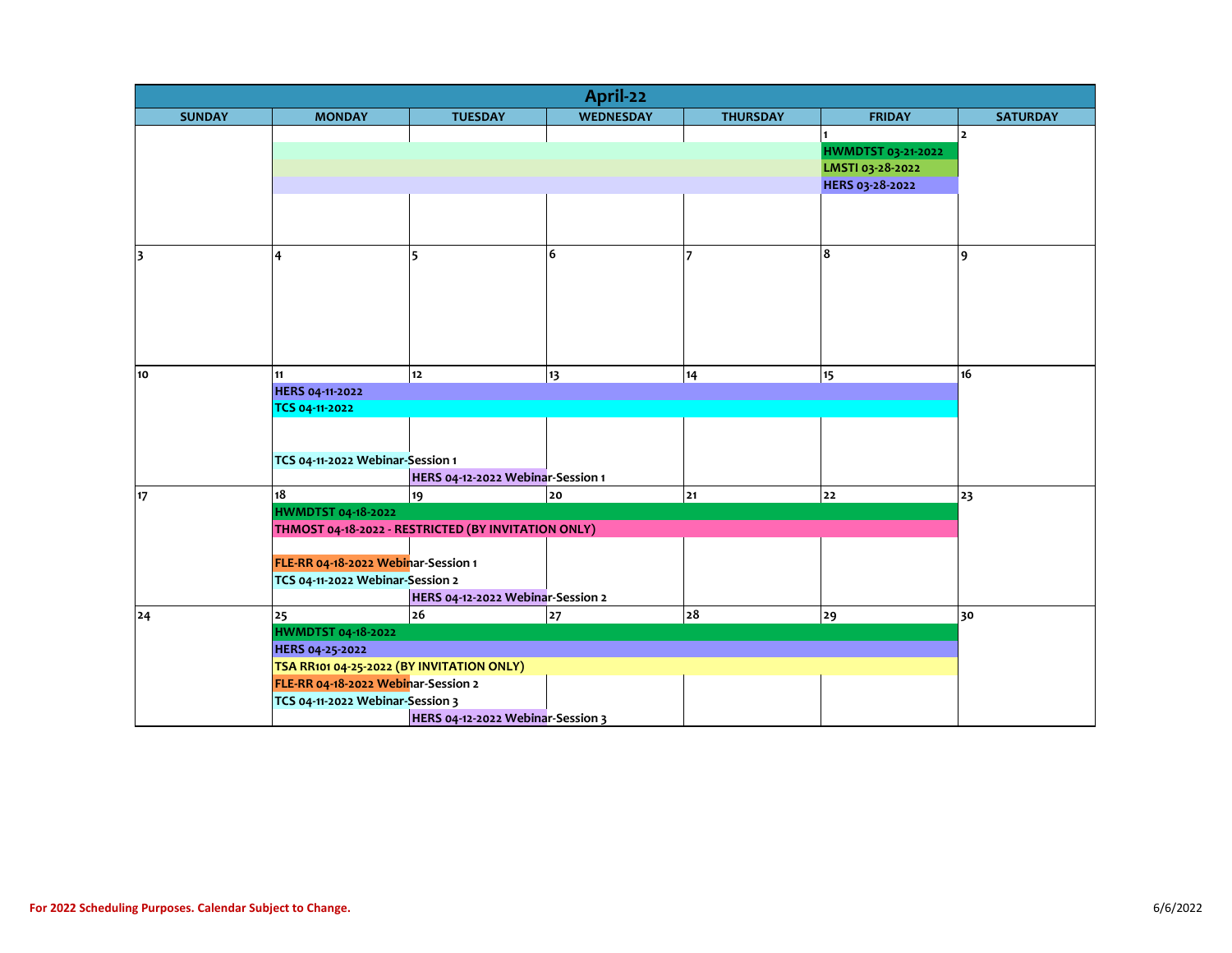| April-22                |                                           |                                                     |                  |                 |                    |                 |  |  |  |
|-------------------------|-------------------------------------------|-----------------------------------------------------|------------------|-----------------|--------------------|-----------------|--|--|--|
| <b>SUNDAY</b>           | <b>MONDAY</b>                             | <b>TUESDAY</b>                                      | <b>WEDNESDAY</b> | <b>THURSDAY</b> | <b>FRIDAY</b>      | <b>SATURDAY</b> |  |  |  |
|                         |                                           |                                                     |                  |                 |                    | $\overline{2}$  |  |  |  |
|                         |                                           |                                                     |                  |                 | HWMDTST 03-21-2022 |                 |  |  |  |
|                         |                                           |                                                     |                  |                 | LMSTI 03-28-2022   |                 |  |  |  |
|                         |                                           |                                                     |                  |                 | HERS 03-28-2022    |                 |  |  |  |
|                         |                                           |                                                     |                  |                 |                    |                 |  |  |  |
|                         |                                           |                                                     |                  |                 |                    |                 |  |  |  |
|                         |                                           |                                                     |                  |                 |                    |                 |  |  |  |
| $\overline{\mathbf{3}}$ | 4                                         | 5                                                   | 6                |                 | 8                  | 9               |  |  |  |
|                         |                                           |                                                     |                  |                 |                    |                 |  |  |  |
|                         |                                           |                                                     |                  |                 |                    |                 |  |  |  |
|                         |                                           |                                                     |                  |                 |                    |                 |  |  |  |
|                         |                                           |                                                     |                  |                 |                    |                 |  |  |  |
|                         |                                           |                                                     |                  |                 |                    |                 |  |  |  |
|                         |                                           |                                                     |                  |                 |                    |                 |  |  |  |
| 10                      | 11                                        | $12$                                                | 13               | 14              | 15                 | 16              |  |  |  |
|                         | HERS 04-11-2022                           |                                                     |                  |                 |                    |                 |  |  |  |
|                         | TCS 04-11-2022                            |                                                     |                  |                 |                    |                 |  |  |  |
|                         |                                           |                                                     |                  |                 |                    |                 |  |  |  |
|                         |                                           |                                                     |                  |                 |                    |                 |  |  |  |
|                         | TCS 04-11-2022 Webinar-Session 1          |                                                     |                  |                 |                    |                 |  |  |  |
|                         | 18                                        | HERS 04-12-2022 Webinar-Session 1                   |                  |                 |                    |                 |  |  |  |
| 17                      | <b>HWMDTST 04-18-2022</b>                 | 19                                                  | 20               | 21              | 22                 | 23              |  |  |  |
|                         |                                           |                                                     |                  |                 |                    |                 |  |  |  |
|                         |                                           | THMOST 04-18-2022 - RESTRICTED (BY INVITATION ONLY) |                  |                 |                    |                 |  |  |  |
|                         | FLE-RR 04-18-2022 Webinar-Session 1       |                                                     |                  |                 |                    |                 |  |  |  |
|                         | TCS 04-11-2022 Webinar-Session 2          |                                                     |                  |                 |                    |                 |  |  |  |
|                         |                                           | HERS 04-12-2022 Webinar-Session 2                   |                  |                 |                    |                 |  |  |  |
| 24                      | 25                                        | 26                                                  | 27               | 28              | 29                 | 30              |  |  |  |
|                         | <b>HWMDTST 04-18-2022</b>                 |                                                     |                  |                 |                    |                 |  |  |  |
|                         | HERS 04-25-2022                           |                                                     |                  |                 |                    |                 |  |  |  |
|                         | TSA RR101 04-25-2022 (BY INVITATION ONLY) |                                                     |                  |                 |                    |                 |  |  |  |
|                         | FLE-RR 04-18-2022 Webinar-Session 2       |                                                     |                  |                 |                    |                 |  |  |  |
|                         | TCS 04-11-2022 Webinar-Session 3          |                                                     |                  |                 |                    |                 |  |  |  |
|                         |                                           | HERS 04-12-2022 Webinar-Session 3                   |                  |                 |                    |                 |  |  |  |
|                         |                                           |                                                     |                  |                 |                    |                 |  |  |  |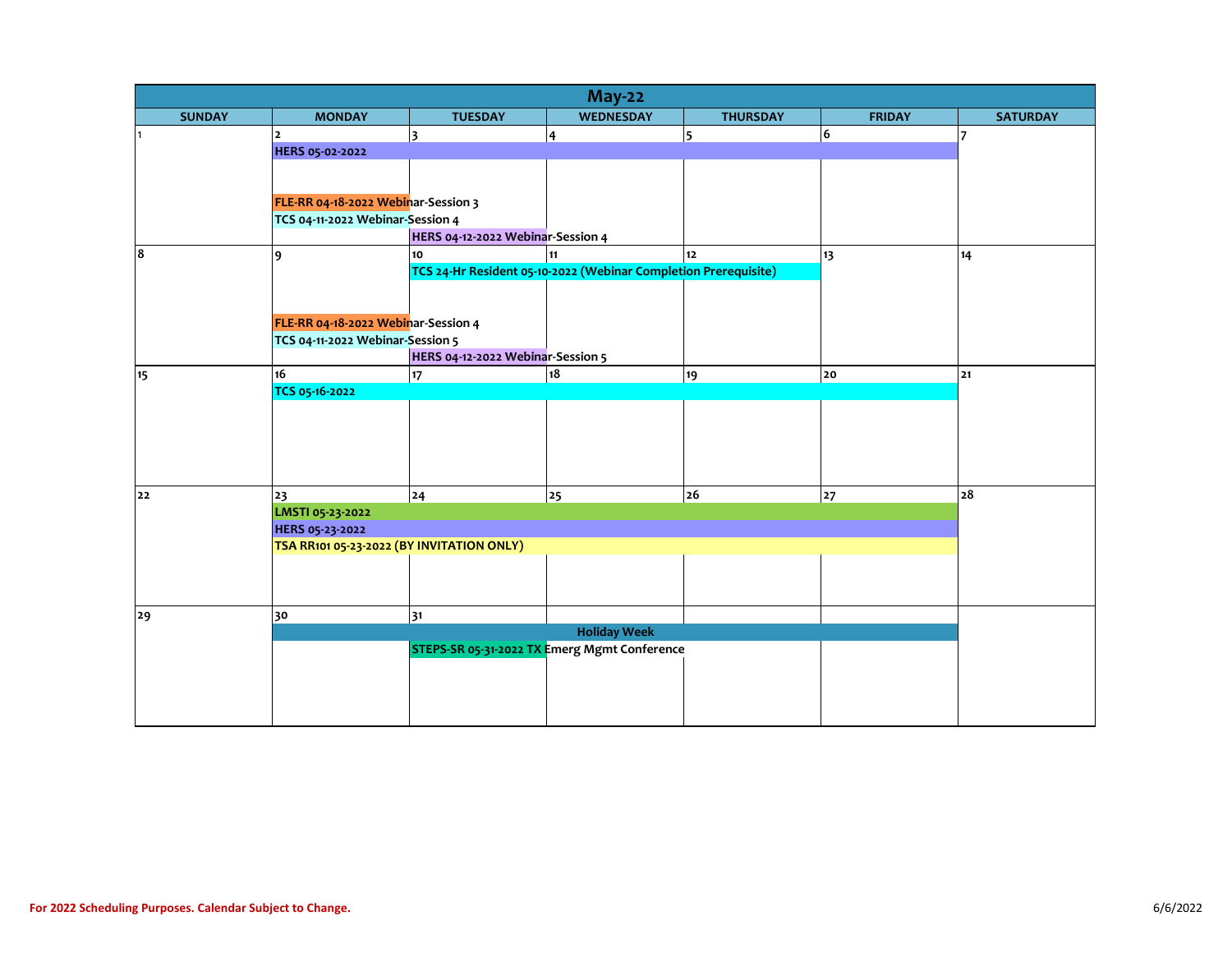| <b>May-22</b>    |                                           |                                   |                                                                       |                  |                |                 |  |  |  |
|------------------|-------------------------------------------|-----------------------------------|-----------------------------------------------------------------------|------------------|----------------|-----------------|--|--|--|
| <b>SUNDAY</b>    | <b>MONDAY</b>                             | <b>TUESDAY</b>                    | <b>WEDNESDAY</b>                                                      | <b>THURSDAY</b>  | <b>FRIDAY</b>  | <b>SATURDAY</b> |  |  |  |
|                  | $\overline{2}$                            | $\overline{\mathbf{3}}$           | $\overline{\mathbf{4}}$                                               | 5                | $6\phantom{a}$ | 7               |  |  |  |
|                  | HERS 05-02-2022                           |                                   |                                                                       |                  |                |                 |  |  |  |
|                  |                                           |                                   |                                                                       |                  |                |                 |  |  |  |
|                  |                                           |                                   |                                                                       |                  |                |                 |  |  |  |
|                  | FLE-RR 04-18-2022 Webinar-Session 3       |                                   |                                                                       |                  |                |                 |  |  |  |
|                  | TCS 04-11-2022 Webinar-Session 4          |                                   |                                                                       |                  |                |                 |  |  |  |
|                  |                                           | HERS 04-12-2022 Webinar-Session 4 |                                                                       |                  |                |                 |  |  |  |
| 8                | 9                                         | 10                                | 11<br>TCS 24-Hr Resident 05-10-2022 (Webinar Completion Prerequisite) | 12 <sup>12</sup> | 13             | 14              |  |  |  |
|                  |                                           |                                   |                                                                       |                  |                |                 |  |  |  |
|                  |                                           |                                   |                                                                       |                  |                |                 |  |  |  |
|                  |                                           |                                   |                                                                       |                  |                |                 |  |  |  |
|                  | FLE-RR 04-18-2022 Webinar-Session 4       |                                   |                                                                       |                  |                |                 |  |  |  |
|                  | TCS 04-11-2022 Webinar-Session 5          |                                   |                                                                       |                  |                |                 |  |  |  |
|                  |                                           | HERS 04-12-2022 Webinar-Session 5 |                                                                       |                  |                |                 |  |  |  |
| 15 <sub>15</sub> | 16                                        | 17 <sub>17</sub>                  | 18                                                                    | 19               | 20             | 21              |  |  |  |
|                  | TCS 05-16-2022                            |                                   |                                                                       |                  |                |                 |  |  |  |
|                  |                                           |                                   |                                                                       |                  |                |                 |  |  |  |
|                  |                                           |                                   |                                                                       |                  |                |                 |  |  |  |
|                  |                                           |                                   |                                                                       |                  |                |                 |  |  |  |
|                  |                                           |                                   |                                                                       |                  |                |                 |  |  |  |
|                  |                                           |                                   |                                                                       |                  |                |                 |  |  |  |
| 22               | 23                                        | 24                                | 25                                                                    | 26               | 27             | 28              |  |  |  |
|                  | LMSTI 05-23-2022                          |                                   |                                                                       |                  |                |                 |  |  |  |
|                  | HERS 05-23-2022                           |                                   |                                                                       |                  |                |                 |  |  |  |
|                  | TSA RR101 05-23-2022 (BY INVITATION ONLY) |                                   |                                                                       |                  |                |                 |  |  |  |
|                  |                                           |                                   |                                                                       |                  |                |                 |  |  |  |
|                  |                                           |                                   |                                                                       |                  |                |                 |  |  |  |
|                  |                                           |                                   |                                                                       |                  |                |                 |  |  |  |
| 29               | 30                                        | 31                                |                                                                       |                  |                |                 |  |  |  |
|                  |                                           |                                   | <b>Holiday Week</b><br>STEPS-SR 05-31-2022 TX Emerg Mgmt Conference   |                  |                |                 |  |  |  |
|                  |                                           |                                   |                                                                       |                  |                |                 |  |  |  |
|                  |                                           |                                   |                                                                       |                  |                |                 |  |  |  |
|                  |                                           |                                   |                                                                       |                  |                |                 |  |  |  |
|                  |                                           |                                   |                                                                       |                  |                |                 |  |  |  |
|                  |                                           |                                   |                                                                       |                  |                |                 |  |  |  |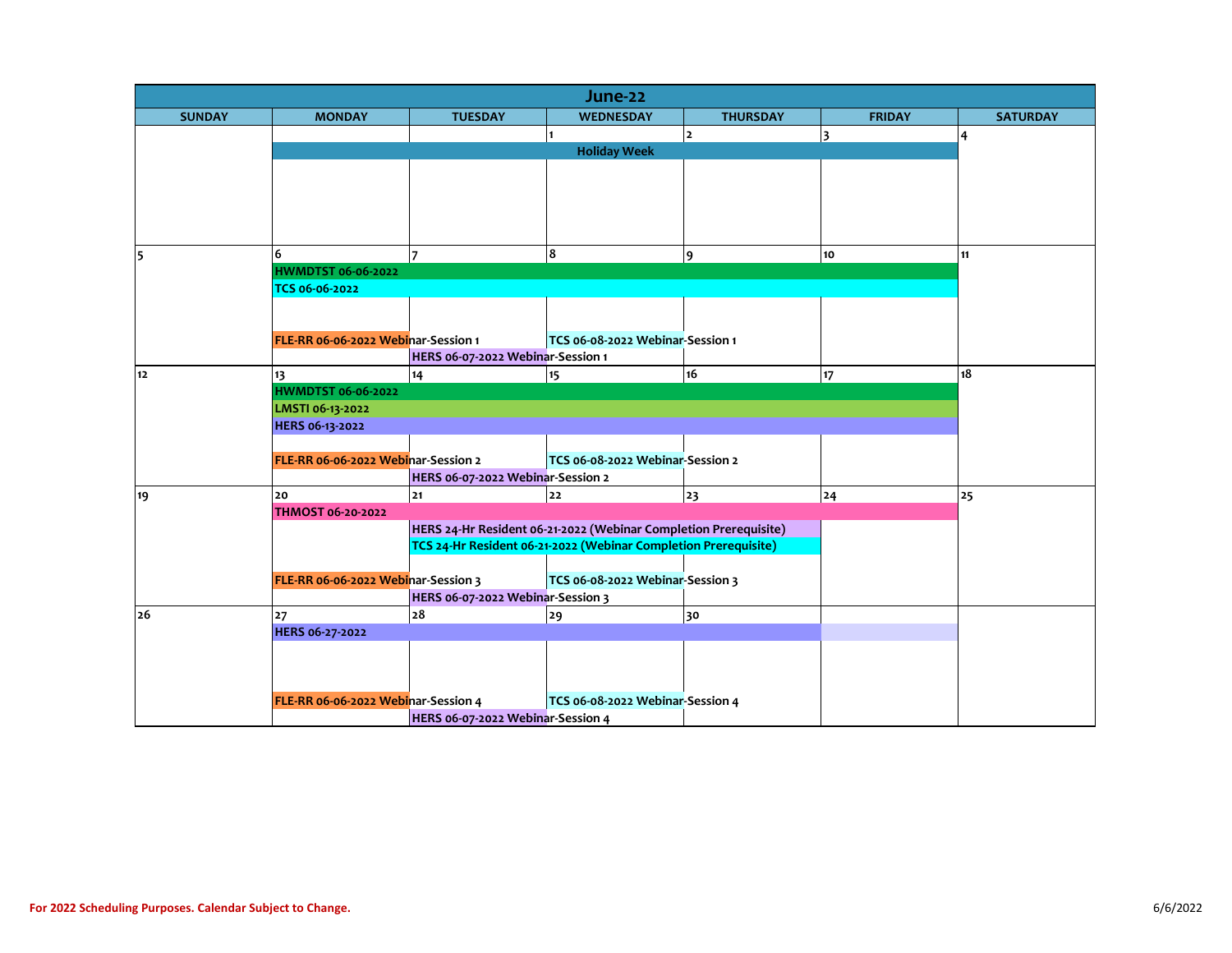| June-22       |                                     |                                                 |                                                                  |                 |               |                 |  |  |  |  |
|---------------|-------------------------------------|-------------------------------------------------|------------------------------------------------------------------|-----------------|---------------|-----------------|--|--|--|--|
| <b>SUNDAY</b> | <b>MONDAY</b>                       | <b>TUESDAY</b>                                  | <b>WEDNESDAY</b>                                                 | <b>THURSDAY</b> | <b>FRIDAY</b> | <b>SATURDAY</b> |  |  |  |  |
|               |                                     |                                                 |                                                                  | $\overline{2}$  | 3             | $\overline{4}$  |  |  |  |  |
|               |                                     |                                                 | <b>Holiday Week</b>                                              |                 |               |                 |  |  |  |  |
|               |                                     |                                                 |                                                                  |                 |               |                 |  |  |  |  |
|               |                                     |                                                 |                                                                  |                 |               |                 |  |  |  |  |
|               |                                     |                                                 |                                                                  |                 |               |                 |  |  |  |  |
|               |                                     |                                                 |                                                                  |                 |               |                 |  |  |  |  |
|               |                                     |                                                 |                                                                  |                 |               |                 |  |  |  |  |
| 5             | 6                                   |                                                 | 8                                                                | 9               | 10            | 11              |  |  |  |  |
|               | TCS 06-06-2022                      | <b>HWMDTST 06-06-2022</b>                       |                                                                  |                 |               |                 |  |  |  |  |
|               |                                     |                                                 |                                                                  |                 |               |                 |  |  |  |  |
|               |                                     |                                                 |                                                                  |                 |               |                 |  |  |  |  |
|               | FLE-RR 06-06-2022 Webinar-Session 1 |                                                 | TCS 06-08-2022 Webinar-Session 1                                 |                 |               |                 |  |  |  |  |
|               |                                     | HERS 06-07-2022 Webinar-Session 1               |                                                                  |                 |               |                 |  |  |  |  |
| 12            | 13                                  | 14                                              | 15                                                               | 16              | 17            | 18              |  |  |  |  |
|               | <b>HWMDTST 06-06-2022</b>           |                                                 |                                                                  |                 |               |                 |  |  |  |  |
|               | LMSTI 06-13-2022                    |                                                 |                                                                  |                 |               |                 |  |  |  |  |
|               | HERS 06-13-2022                     |                                                 |                                                                  |                 |               |                 |  |  |  |  |
|               |                                     |                                                 |                                                                  |                 |               |                 |  |  |  |  |
|               | FLE-RR 06-06-2022 Webinar-Session 2 |                                                 |                                                                  |                 |               |                 |  |  |  |  |
|               |                                     | HERS 06-07-2022 Webinar-Session 2               |                                                                  |                 |               |                 |  |  |  |  |
| 19            | 20                                  | 21                                              | 22                                                               | 23              | 24            | 25              |  |  |  |  |
|               | THMOST 06-20-2022                   |                                                 |                                                                  |                 |               |                 |  |  |  |  |
|               |                                     |                                                 | HERS 24-Hr Resident 06-21-2022 (Webinar Completion Prerequisite) |                 |               |                 |  |  |  |  |
|               |                                     |                                                 | TCS 24-Hr Resident 06-21-2022 (Webinar Completion Prerequisite)  |                 |               |                 |  |  |  |  |
|               |                                     |                                                 |                                                                  |                 |               |                 |  |  |  |  |
|               | FLE-RR 06-06-2022 Webinar-Session 3 |                                                 | TCS 06-08-2022 Webinar-Session 3                                 |                 |               |                 |  |  |  |  |
| 26            | 27                                  | HERS 06-07-2022 Webinar-Session 3<br>${\bf 28}$ |                                                                  |                 |               |                 |  |  |  |  |
|               | HERS 06-27-2022                     |                                                 | 29                                                               | 30              |               |                 |  |  |  |  |
|               |                                     |                                                 |                                                                  |                 |               |                 |  |  |  |  |
|               |                                     |                                                 |                                                                  |                 |               |                 |  |  |  |  |
|               |                                     |                                                 |                                                                  |                 |               |                 |  |  |  |  |
|               | FLE-RR 06-06-2022 Webinar-Session 4 |                                                 | TCS 06-08-2022 Webinar-Session 4                                 |                 |               |                 |  |  |  |  |
|               |                                     | HERS 06-07-2022 Webinar-Session 4               |                                                                  |                 |               |                 |  |  |  |  |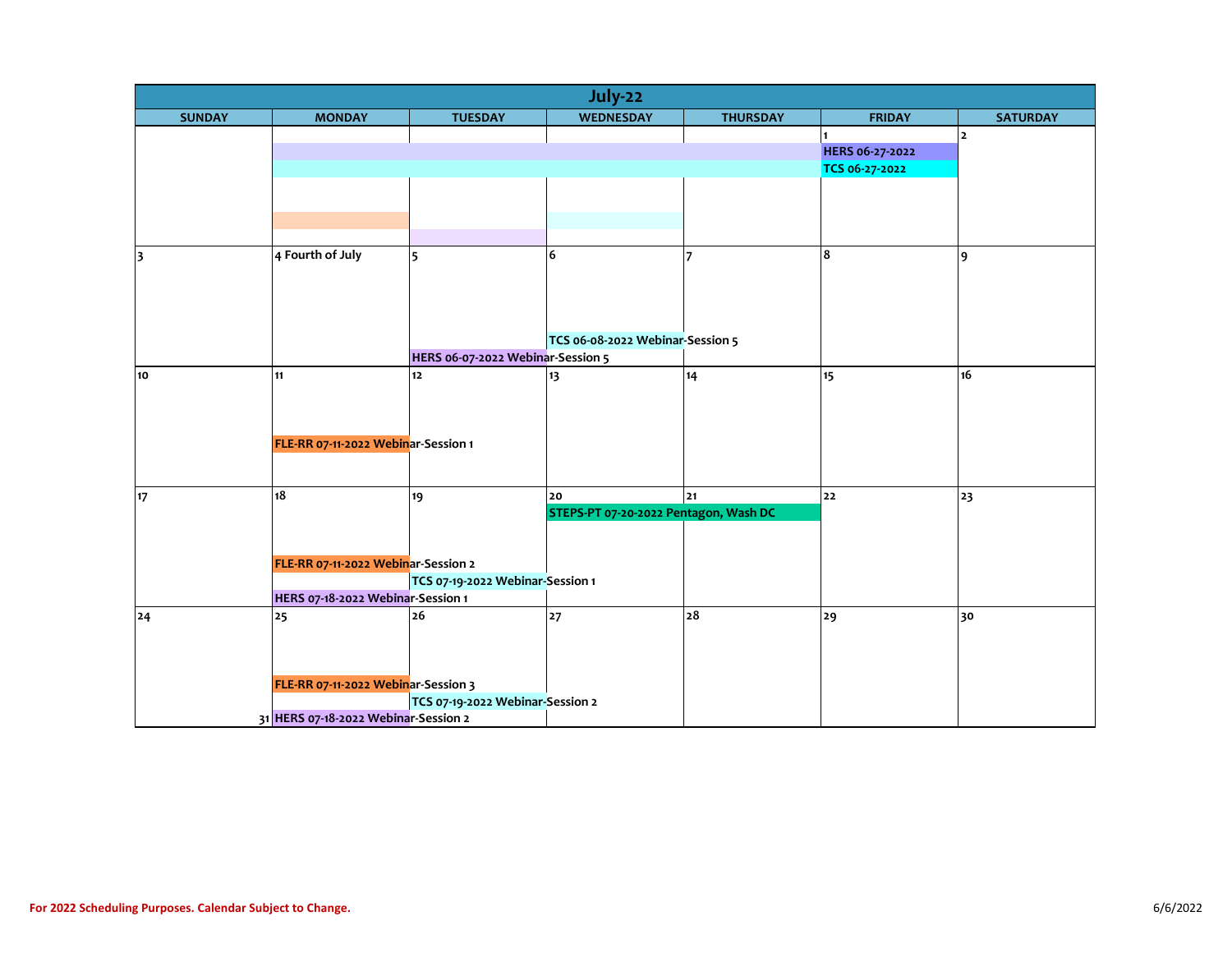| July-22       |                                      |                                   |                                       |                 |                |                         |  |  |
|---------------|--------------------------------------|-----------------------------------|---------------------------------------|-----------------|----------------|-------------------------|--|--|
| <b>SUNDAY</b> | <b>MONDAY</b>                        | <b>TUESDAY</b>                    | <b>WEDNESDAY</b>                      | <b>THURSDAY</b> | <b>FRIDAY</b>  | <b>SATURDAY</b>         |  |  |
|               |                                      |                                   |                                       |                 |                | $\overline{\mathbf{2}}$ |  |  |
|               |                                      |                                   |                                       | HERS 06-27-2022 |                |                         |  |  |
|               |                                      |                                   |                                       |                 | TCS 06-27-2022 |                         |  |  |
|               |                                      |                                   |                                       |                 |                |                         |  |  |
|               |                                      |                                   |                                       |                 |                |                         |  |  |
|               |                                      |                                   |                                       |                 |                |                         |  |  |
| 3             | 4 Fourth of July                     | 5                                 | 6                                     |                 | 8              | 9                       |  |  |
|               |                                      |                                   |                                       |                 |                |                         |  |  |
|               |                                      |                                   |                                       |                 |                |                         |  |  |
|               |                                      |                                   |                                       |                 |                |                         |  |  |
|               |                                      |                                   |                                       |                 |                |                         |  |  |
|               |                                      |                                   | TCS 06-08-2022 Webinar-Session 5      |                 |                |                         |  |  |
|               |                                      | HERS 06-07-2022 Webinar-Session 5 |                                       |                 |                |                         |  |  |
| 10            | 11                                   | 12                                | 13                                    | 14              | 15             | 16                      |  |  |
|               |                                      |                                   |                                       |                 |                |                         |  |  |
|               |                                      |                                   |                                       |                 |                |                         |  |  |
|               |                                      |                                   |                                       |                 |                |                         |  |  |
|               | FLE-RR 07-11-2022 Webinar-Session 1  |                                   |                                       |                 |                |                         |  |  |
|               |                                      |                                   |                                       |                 |                |                         |  |  |
| 17            | 18                                   | 19                                | 20                                    | 21              | 22             | 23                      |  |  |
|               |                                      |                                   | STEPS-PT 07-20-2022 Pentagon, Wash DC |                 |                |                         |  |  |
|               |                                      |                                   |                                       |                 |                |                         |  |  |
|               |                                      |                                   |                                       |                 |                |                         |  |  |
|               | FLE-RR 07-11-2022 Webinar-Session 2  |                                   |                                       |                 |                |                         |  |  |
|               |                                      | TCS 07-19-2022 Webinar-Session 1  |                                       |                 |                |                         |  |  |
|               | HERS 07-18-2022 Webinar-Session 1    |                                   |                                       |                 |                |                         |  |  |
| 24            | 25                                   | 26                                | 27                                    | 28              | 29             | 30                      |  |  |
|               |                                      |                                   |                                       |                 |                |                         |  |  |
|               |                                      |                                   |                                       |                 |                |                         |  |  |
|               |                                      |                                   |                                       |                 |                |                         |  |  |
|               | FLE-RR 07-11-2022 Webinar-Session 3  |                                   |                                       |                 |                |                         |  |  |
|               |                                      | TCS 07-19-2022 Webinar-Session 2  |                                       |                 |                |                         |  |  |
|               | 31 HERS 07-18-2022 Webinar-Session 2 |                                   |                                       |                 |                |                         |  |  |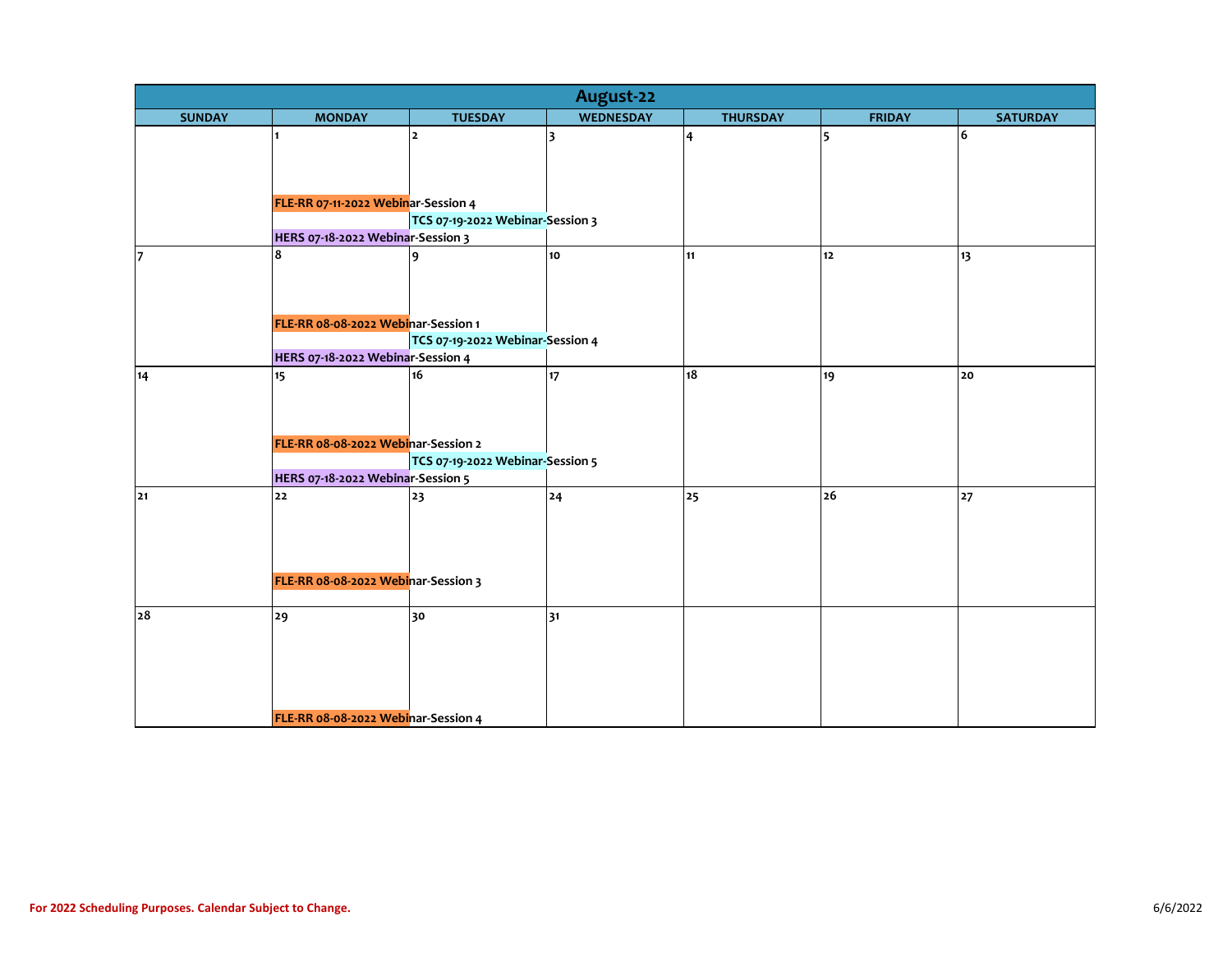| August-22                         |                                        |                                  |                  |                 |               |                 |  |  |  |
|-----------------------------------|----------------------------------------|----------------------------------|------------------|-----------------|---------------|-----------------|--|--|--|
| <b>SUNDAY</b>                     | <b>MONDAY</b>                          | <b>TUESDAY</b>                   | <b>WEDNESDAY</b> | <b>THURSDAY</b> | <b>FRIDAY</b> | <b>SATURDAY</b> |  |  |  |
|                                   | $\blacksquare$                         | 2                                | 3                | 4               | 5             | 6               |  |  |  |
|                                   |                                        |                                  |                  |                 |               |                 |  |  |  |
|                                   |                                        |                                  |                  |                 |               |                 |  |  |  |
|                                   |                                        |                                  |                  |                 |               |                 |  |  |  |
|                                   | FLE-RR 07-11-2022 Webinar-Session 4    |                                  |                  |                 |               |                 |  |  |  |
|                                   |                                        | TCS 07-19-2022 Webinar-Session 3 |                  |                 |               |                 |  |  |  |
|                                   | HERS 07-18-2022 Webinar-Session 3<br>8 |                                  |                  |                 |               |                 |  |  |  |
| 17                                |                                        | 9                                | 10               | 11              | 12            | 13              |  |  |  |
|                                   |                                        |                                  |                  |                 |               |                 |  |  |  |
|                                   |                                        |                                  |                  |                 |               |                 |  |  |  |
|                                   | FLE-RR 08-08-2022 Webinar-Session 1    |                                  |                  |                 |               |                 |  |  |  |
|                                   |                                        | TCS 07-19-2022 Webinar-Session 4 |                  |                 |               |                 |  |  |  |
| HERS 07-18-2022 Webinar-Session 4 |                                        |                                  |                  |                 |               |                 |  |  |  |
| 14                                | 15                                     | 16                               | 17               | 18              | 19            | 20              |  |  |  |
|                                   |                                        |                                  |                  |                 |               |                 |  |  |  |
|                                   |                                        |                                  |                  |                 |               |                 |  |  |  |
|                                   |                                        |                                  |                  |                 |               |                 |  |  |  |
|                                   | FLE-RR 08-08-2022 Webinar-Session 2    |                                  |                  |                 |               |                 |  |  |  |
|                                   |                                        | TCS 07-19-2022 Webinar-Session 5 |                  |                 |               |                 |  |  |  |
|                                   | HERS 07-18-2022 Webinar-Session 5      |                                  |                  |                 |               |                 |  |  |  |
| 21                                | 22                                     | 23                               | 24               | 25              | 26            | 27              |  |  |  |
|                                   |                                        |                                  |                  |                 |               |                 |  |  |  |
|                                   |                                        |                                  |                  |                 |               |                 |  |  |  |
|                                   |                                        |                                  |                  |                 |               |                 |  |  |  |
|                                   | FLE-RR 08-08-2022 Webinar-Session 3    |                                  |                  |                 |               |                 |  |  |  |
|                                   |                                        |                                  |                  |                 |               |                 |  |  |  |
| 28                                | 29                                     | 30                               | 31               |                 |               |                 |  |  |  |
|                                   |                                        |                                  |                  |                 |               |                 |  |  |  |
|                                   |                                        |                                  |                  |                 |               |                 |  |  |  |
|                                   |                                        |                                  |                  |                 |               |                 |  |  |  |
|                                   |                                        |                                  |                  |                 |               |                 |  |  |  |
|                                   |                                        |                                  |                  |                 |               |                 |  |  |  |
|                                   | FLE-RR 08-08-2022 Webinar-Session 4    |                                  |                  |                 |               |                 |  |  |  |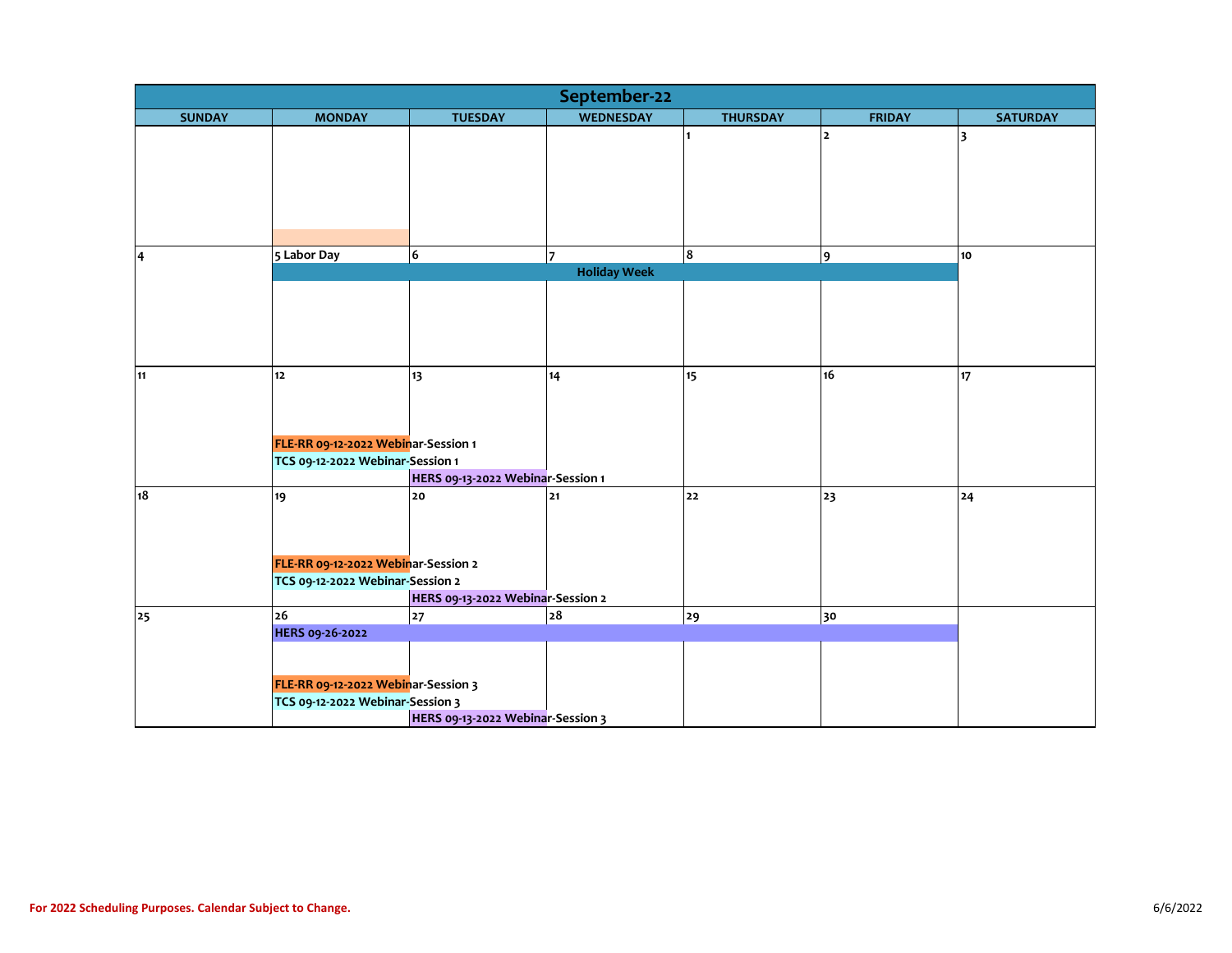| September-22            |                                     |                                   |                     |                  |               |                 |  |  |
|-------------------------|-------------------------------------|-----------------------------------|---------------------|------------------|---------------|-----------------|--|--|
| <b>SUNDAY</b>           | <b>MONDAY</b>                       | <b>TUESDAY</b>                    | <b>WEDNESDAY</b>    | <b>THURSDAY</b>  | <b>FRIDAY</b> | <b>SATURDAY</b> |  |  |
|                         |                                     |                                   |                     |                  | $\mathbf{2}$  | 3               |  |  |
|                         |                                     |                                   |                     |                  |               |                 |  |  |
|                         |                                     |                                   |                     |                  |               |                 |  |  |
|                         |                                     |                                   |                     |                  |               |                 |  |  |
|                         |                                     |                                   |                     |                  |               |                 |  |  |
|                         |                                     |                                   |                     |                  |               |                 |  |  |
| $\overline{\mathbf{4}}$ | 5 Labor Day                         | 6                                 | 17                  | 8                | 9             | 10 <sub>o</sub> |  |  |
|                         |                                     |                                   | <b>Holiday Week</b> |                  |               |                 |  |  |
|                         |                                     |                                   |                     |                  |               |                 |  |  |
|                         |                                     |                                   |                     |                  |               |                 |  |  |
|                         |                                     |                                   |                     |                  |               |                 |  |  |
|                         |                                     |                                   |                     |                  |               |                 |  |  |
| 11                      | 12                                  |                                   |                     | 15 <sup>15</sup> | 16            |                 |  |  |
|                         |                                     | 13                                | 14                  |                  |               | 17              |  |  |
|                         |                                     |                                   |                     |                  |               |                 |  |  |
|                         |                                     |                                   |                     |                  |               |                 |  |  |
|                         | FLE-RR 09-12-2022 Webinar-Session 1 |                                   |                     |                  |               |                 |  |  |
|                         | TCS 09-12-2022 Webinar-Session 1    |                                   |                     |                  |               |                 |  |  |
|                         |                                     | HERS 09-13-2022 Webinar-Session 1 |                     |                  |               |                 |  |  |
| 18                      | 19                                  | 20                                | $21$                | 22               | 23            | 24              |  |  |
|                         |                                     |                                   |                     |                  |               |                 |  |  |
|                         |                                     |                                   |                     |                  |               |                 |  |  |
|                         |                                     |                                   |                     |                  |               |                 |  |  |
|                         | FLE-RR 09-12-2022 Webinar-Session 2 |                                   |                     |                  |               |                 |  |  |
|                         | TCS 09-12-2022 Webinar-Session 2    | HERS 09-13-2022 Webinar-Session 2 |                     |                  |               |                 |  |  |
| 25                      | 26                                  | 27                                | 28                  | 29               | 30            |                 |  |  |
|                         | <b>HERS 09-26-2022</b>              |                                   |                     |                  |               |                 |  |  |
|                         |                                     |                                   |                     |                  |               |                 |  |  |
|                         |                                     |                                   |                     |                  |               |                 |  |  |
|                         | FLE-RR 09-12-2022 Webinar-Session 3 |                                   |                     |                  |               |                 |  |  |
|                         | TCS 09-12-2022 Webinar-Session 3    |                                   |                     |                  |               |                 |  |  |
|                         |                                     | HERS 09-13-2022 Webinar-Session 3 |                     |                  |               |                 |  |  |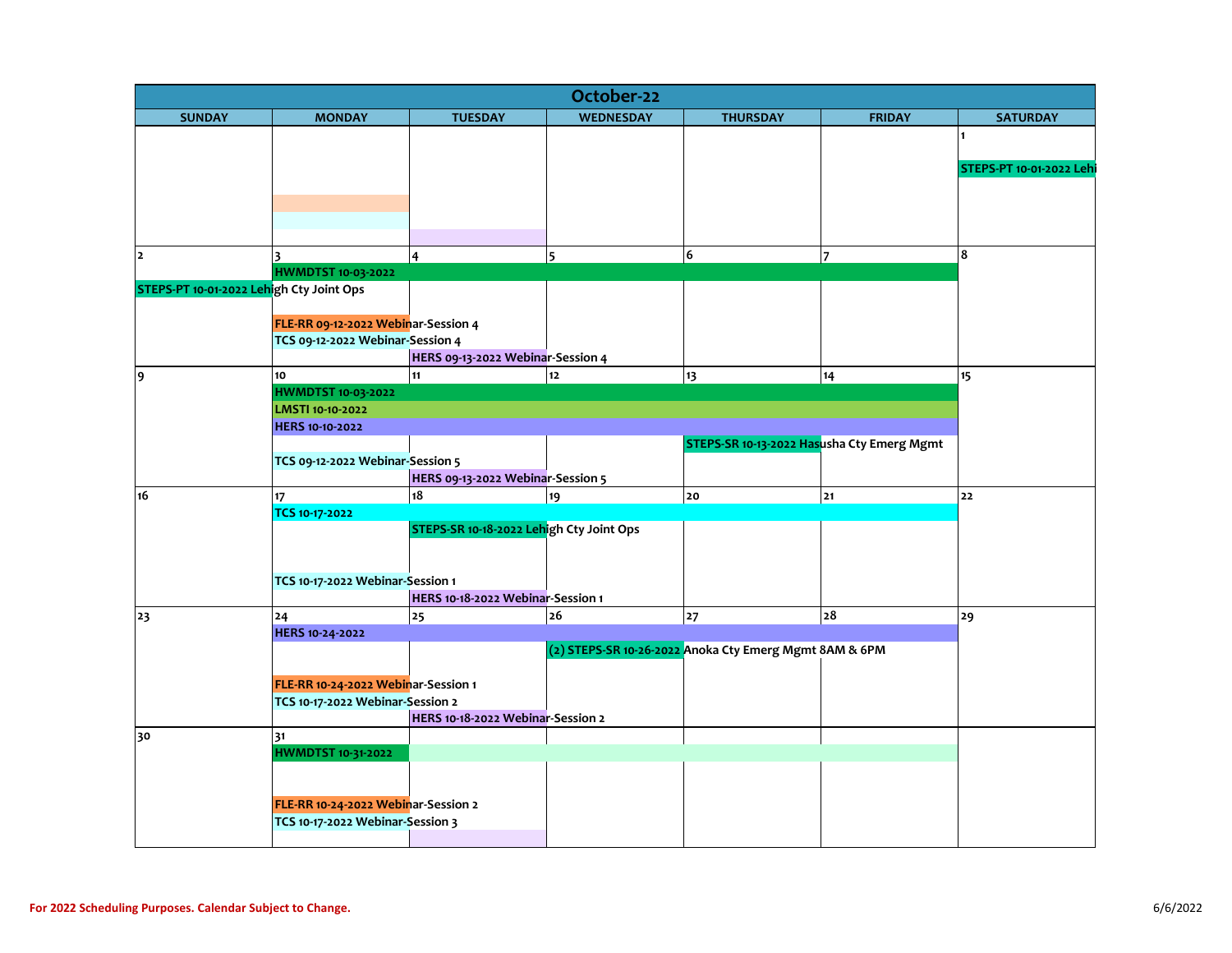| October-22                               |                                     |                                          |                  |                                                        |                |                          |  |  |  |  |
|------------------------------------------|-------------------------------------|------------------------------------------|------------------|--------------------------------------------------------|----------------|--------------------------|--|--|--|--|
| <b>SUNDAY</b>                            | <b>MONDAY</b>                       | <b>TUESDAY</b>                           | <b>WEDNESDAY</b> | <b>THURSDAY</b>                                        | <b>FRIDAY</b>  | <b>SATURDAY</b>          |  |  |  |  |
|                                          |                                     |                                          |                  |                                                        |                |                          |  |  |  |  |
|                                          |                                     |                                          |                  |                                                        |                |                          |  |  |  |  |
|                                          |                                     |                                          |                  |                                                        |                | STEPS-PT 10-01-2022 Lehi |  |  |  |  |
|                                          |                                     |                                          |                  |                                                        |                |                          |  |  |  |  |
|                                          |                                     |                                          |                  |                                                        |                |                          |  |  |  |  |
|                                          |                                     |                                          |                  |                                                        |                |                          |  |  |  |  |
| $\mathbf{z}$                             | $\overline{\mathbf{3}}$             | $\overline{4}$                           | 5                | 6                                                      | $\overline{7}$ | 8                        |  |  |  |  |
|                                          | <b>HWMDTST 10-03-2022</b>           |                                          |                  |                                                        |                |                          |  |  |  |  |
| STEPS-PT 10-01-2022 Lehigh Cty Joint Ops |                                     |                                          |                  |                                                        |                |                          |  |  |  |  |
|                                          |                                     |                                          |                  |                                                        |                |                          |  |  |  |  |
|                                          | FLE-RR 09-12-2022 Webinar-Session 4 |                                          |                  |                                                        |                |                          |  |  |  |  |
|                                          | TCS 09-12-2022 Webinar-Session 4    |                                          |                  |                                                        |                |                          |  |  |  |  |
|                                          |                                     | HERS 09-13-2022 Webinar-Session 4        |                  |                                                        |                |                          |  |  |  |  |
| 9                                        | 10                                  | 11                                       | $12$             | 13                                                     | 14             | 15                       |  |  |  |  |
|                                          | <b>HWMDTST 10-03-2022</b>           |                                          |                  |                                                        |                |                          |  |  |  |  |
|                                          | LMSTI 10-10-2022                    |                                          |                  |                                                        |                |                          |  |  |  |  |
|                                          | HERS 10-10-2022                     |                                          |                  |                                                        |                |                          |  |  |  |  |
|                                          |                                     |                                          |                  | STEPS-SR 10-13-2022 Hasusha Cty Emerg Mgmt             |                |                          |  |  |  |  |
|                                          | TCS 09-12-2022 Webinar-Session 5    |                                          |                  |                                                        |                |                          |  |  |  |  |
|                                          |                                     | HERS 09-13-2022 Webinar-Session 5        |                  |                                                        |                |                          |  |  |  |  |
| 16                                       | 17 <sup>17</sup>                    | 18                                       | 19               | 20                                                     | 21             | 22                       |  |  |  |  |
|                                          | TCS 10-17-2022                      |                                          |                  |                                                        |                |                          |  |  |  |  |
|                                          |                                     | STEPS-SR 10-18-2022 Lehigh Cty Joint Ops |                  |                                                        |                |                          |  |  |  |  |
|                                          |                                     |                                          |                  |                                                        |                |                          |  |  |  |  |
|                                          | TCS 10-17-2022 Webinar-Session 1    |                                          |                  |                                                        |                |                          |  |  |  |  |
|                                          |                                     | HERS 10-18-2022 Webinar-Session 1        |                  |                                                        |                |                          |  |  |  |  |
| 23                                       | 24                                  | 25                                       | 26               | 27                                                     | ${\bf 28}$     | 29                       |  |  |  |  |
|                                          | HERS 10-24-2022                     |                                          |                  |                                                        |                |                          |  |  |  |  |
|                                          |                                     |                                          |                  | (2) STEPS-SR 10-26-2022 Anoka Cty Emerg Mgmt 8AM & 6PM |                |                          |  |  |  |  |
|                                          |                                     |                                          |                  |                                                        |                |                          |  |  |  |  |
|                                          | FLE-RR 10-24-2022 Webinar-Session 1 |                                          |                  |                                                        |                |                          |  |  |  |  |
|                                          | TCS 10-17-2022 Webinar-Session 2    |                                          |                  |                                                        |                |                          |  |  |  |  |
|                                          |                                     | HERS 10-18-2022 Webinar-Session 2        |                  |                                                        |                |                          |  |  |  |  |
| 30                                       | 31                                  |                                          |                  |                                                        |                |                          |  |  |  |  |
|                                          | <b>HWMDTST 10-31-2022</b>           |                                          |                  |                                                        |                |                          |  |  |  |  |
|                                          |                                     |                                          |                  |                                                        |                |                          |  |  |  |  |
|                                          |                                     |                                          |                  |                                                        |                |                          |  |  |  |  |
|                                          | FLE-RR 10-24-2022 Webinar-Session 2 |                                          |                  |                                                        |                |                          |  |  |  |  |
|                                          | TCS 10-17-2022 Webinar-Session 3    |                                          |                  |                                                        |                |                          |  |  |  |  |
|                                          |                                     |                                          |                  |                                                        |                |                          |  |  |  |  |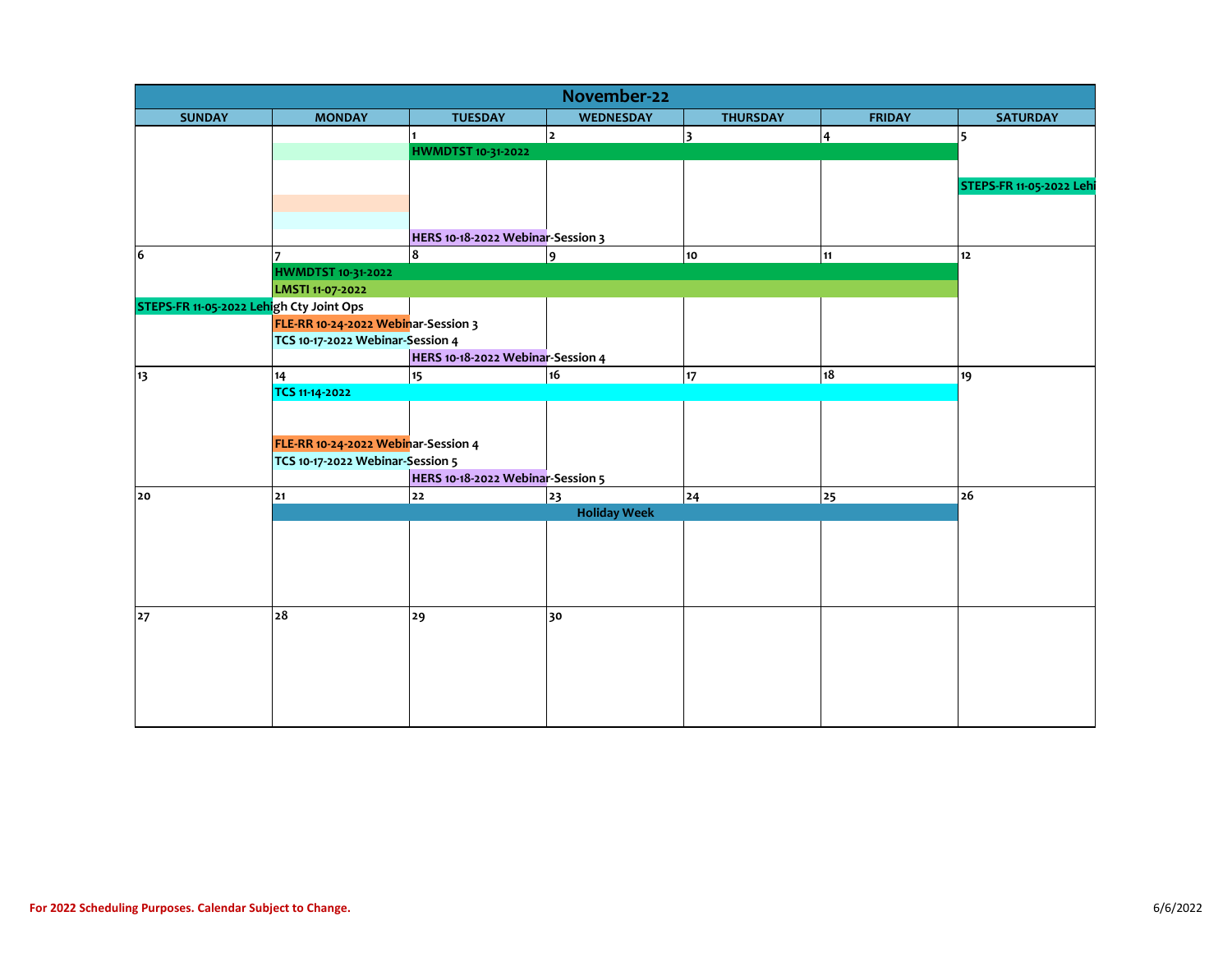| November-22                              |                                     |                                   |                     |                 |                |                          |  |  |  |
|------------------------------------------|-------------------------------------|-----------------------------------|---------------------|-----------------|----------------|--------------------------|--|--|--|
| <b>SUNDAY</b>                            | <b>MONDAY</b>                       | <b>TUESDAY</b>                    | WEDNESDAY           | <b>THURSDAY</b> | <b>FRIDAY</b>  | <b>SATURDAY</b>          |  |  |  |
|                                          |                                     |                                   | <u> 2</u>           | 3               | $\overline{4}$ | 5                        |  |  |  |
|                                          |                                     | <b>HWMDTST 10-31-2022</b>         |                     |                 |                |                          |  |  |  |
|                                          |                                     |                                   |                     |                 |                |                          |  |  |  |
|                                          |                                     |                                   |                     |                 |                | STEPS-FR 11-05-2022 Lehi |  |  |  |
|                                          |                                     |                                   |                     |                 |                |                          |  |  |  |
|                                          |                                     |                                   |                     |                 |                |                          |  |  |  |
|                                          |                                     | HERS 10-18-2022 Webinar-Session 3 |                     |                 |                |                          |  |  |  |
| 6                                        |                                     | $\overline{\mathbf{8}}$           | 9                   | 10              | 11             | $12$                     |  |  |  |
|                                          | <b>HWMDTST 10-31-2022</b>           |                                   |                     |                 |                |                          |  |  |  |
|                                          | LMSTI 11-07-2022                    |                                   |                     |                 |                |                          |  |  |  |
| STEPS-FR 11-05-2022 Lehigh Cty Joint Ops |                                     |                                   |                     |                 |                |                          |  |  |  |
|                                          | FLE-RR 10-24-2022 Webinar-Session 3 |                                   |                     |                 |                |                          |  |  |  |
|                                          | TCS 10-17-2022 Webinar-Session 4    |                                   |                     |                 |                |                          |  |  |  |
|                                          |                                     | HERS 10-18-2022 Webinar-Session 4 |                     |                 |                |                          |  |  |  |
| 13                                       | 14                                  | 15                                | 16                  | 17              | 18             | 19                       |  |  |  |
|                                          | TCS 11-14-2022                      |                                   |                     |                 |                |                          |  |  |  |
|                                          |                                     |                                   |                     |                 |                |                          |  |  |  |
|                                          |                                     |                                   |                     |                 |                |                          |  |  |  |
|                                          | FLE-RR 10-24-2022 Webinar-Session 4 |                                   |                     |                 |                |                          |  |  |  |
|                                          | TCS 10-17-2022 Webinar-Session 5    |                                   |                     |                 |                |                          |  |  |  |
|                                          |                                     | HERS 10-18-2022 Webinar-Session 5 |                     |                 |                |                          |  |  |  |
| 20                                       | 21                                  | 22                                | 23                  | 24              | 25             | 26                       |  |  |  |
|                                          |                                     |                                   | <b>Holiday Week</b> |                 |                |                          |  |  |  |
|                                          |                                     |                                   |                     |                 |                |                          |  |  |  |
|                                          |                                     |                                   |                     |                 |                |                          |  |  |  |
|                                          |                                     |                                   |                     |                 |                |                          |  |  |  |
|                                          |                                     |                                   |                     |                 |                |                          |  |  |  |
|                                          | 28                                  | 29                                | 30                  |                 |                |                          |  |  |  |
| 27                                       |                                     |                                   |                     |                 |                |                          |  |  |  |
|                                          |                                     |                                   |                     |                 |                |                          |  |  |  |
|                                          |                                     |                                   |                     |                 |                |                          |  |  |  |
|                                          |                                     |                                   |                     |                 |                |                          |  |  |  |
|                                          |                                     |                                   |                     |                 |                |                          |  |  |  |
|                                          |                                     |                                   |                     |                 |                |                          |  |  |  |
|                                          |                                     |                                   |                     |                 |                |                          |  |  |  |